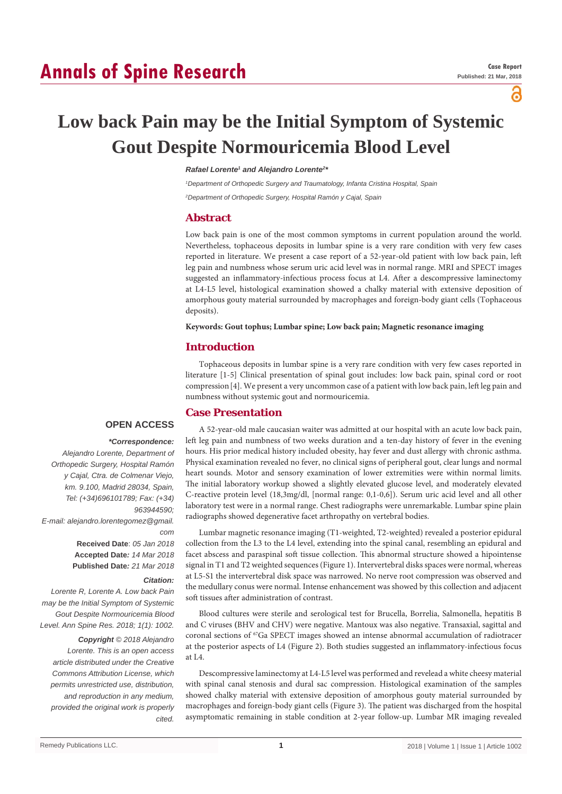# **Annals of Spine Research**

a

# **Low back Pain may be the Initial Symptom of Systemic Gout Despite Normouricemia Blood Level**

### **Rafael Lorente<sup>1</sup> and Alejandro Lorente<sup>2</sup>**

*1 Department of Orthopedic Surgery and Traumatology, Infanta Cristina Hospital, Spain 2 Department of Orthopedic Surgery, Hospital Ramón y Cajal, Spain*

## **Abstract**

Low back pain is one of the most common symptoms in current population around the world. Nevertheless, tophaceous deposits in lumbar spine is a very rare condition with very few cases reported in literature. We present a case report of a 52-year-old patient with low back pain, left leg pain and numbness whose serum uric acid level was in normal range. MRI and SPECT images suggested an inflammatory-infectious process focus at L4. After a descompressive laminectomy at L4-L5 level, histological examination showed a chalky material with extensive deposition of amorphous gouty material surrounded by macrophages and foreign-body giant cells (Tophaceous deposits).

#### **Keywords: Gout tophus; Lumbar spine; Low back pain; Magnetic resonance imaging**

## **Introduction**

Tophaceous deposits in lumbar spine is a very rare condition with very few cases reported in literature [1-5] Clinical presentation of spinal gout includes: low back pain, spinal cord or root compression[4]. We present a very uncommon case of a patient with low back pain, left leg pain and numbness without systemic gout and normouricemia.

# **Case Presentation**

# **OPEN ACCESS**

#### *\*Correspondence:*

*Alejandro Lorente, Department of Orthopedic Surgery, Hospital Ramón y Cajal, Ctra. de Colmenar Viejo, km. 9.100, Madrid 28034, Spain, Tel: (+34)696101789; Fax: (+34) 963944590; E-mail: alejandro.lorentegomez@gmail. com* **Received Date**: *05 Jan 2018* **Accepted Date***: 14 Mar 2018* **Published Date***: 21 Mar 2018*

#### *Citation:*

*Lorente R, Lorente A. Low back Pain may be the Initial Symptom of Systemic Gout Despite Normouricemia Blood Level. Ann Spine Res. 2018; 1(1): 1002.*

*Copyright © 2018 Alejandro Lorente. This is an open access article distributed under the Creative Commons Attribution License, which permits unrestricted use, distribution, and reproduction in any medium, provided the original work is properly cited.*

A 52-year-old male caucasian waiter was admitted at our hospital with an acute low back pain, left leg pain and numbness of two weeks duration and a ten-day history of fever in the evening hours. His prior medical history included obesity, hay fever and dust allergy with chronic asthma. Physical examination revealed no fever, no clinical signs of peripheral gout, clear lungs and normal heart sounds. Motor and sensory examination of lower extremities were within normal limits. The initial laboratory workup showed a slightly elevated glucose level, and moderately elevated C-reactive protein level (18,3mg/dl, [normal range: 0,1-0,6]). Serum uric acid level and all other laboratory test were in a normal range. Chest radiographs were unremarkable. Lumbar spine plain radiographs showed degenerative facet arthropathy on vertebral bodies.

Lumbar magnetic resonance imaging (T1-weighted, T2-weighted) revealed a posterior epidural collection from the L3 to the L4 level, extending into the spinal canal, resembling an epidural and facet abscess and paraspinal soft tissue collection. This abnormal structure showed a hipointense signal in T1 and T2 weighted sequences (Figure 1). Intervertebral disks spaces were normal, whereas at L5-S1 the intervertebral disk space was narrowed. No nerve root compression was observed and the medullary conus were normal. Intense enhancement was showed by this collection and adjacent soft tissues after administration of contrast.

Blood cultures were sterile and serological test for Brucella, Borrelia, Salmonella, hepatitis B and C viruses **(**BHV and CHV) were negative. Mantoux was also negative. Transaxial, sagittal and coronal sections of  ${}^{67}Ga$  SPECT images showed an intense abnormal accumulation of radiotracer at the posterior aspects of L4 (Figure 2). Both studies suggested an inflammatory-infectious focus at L4.

Descompressive laminectomy at L4-L5 level was performed and revelead a white cheesy material with spinal canal stenosis and dural sac compression. Histological examination of the samples showed chalky material with extensive deposition of amorphous gouty material surrounded by macrophages and foreign-body giant cells (Figure 3). The patient was discharged from the hospital asymptomatic remaining in stable condition at 2-year follow-up. Lumbar MR imaging revealed